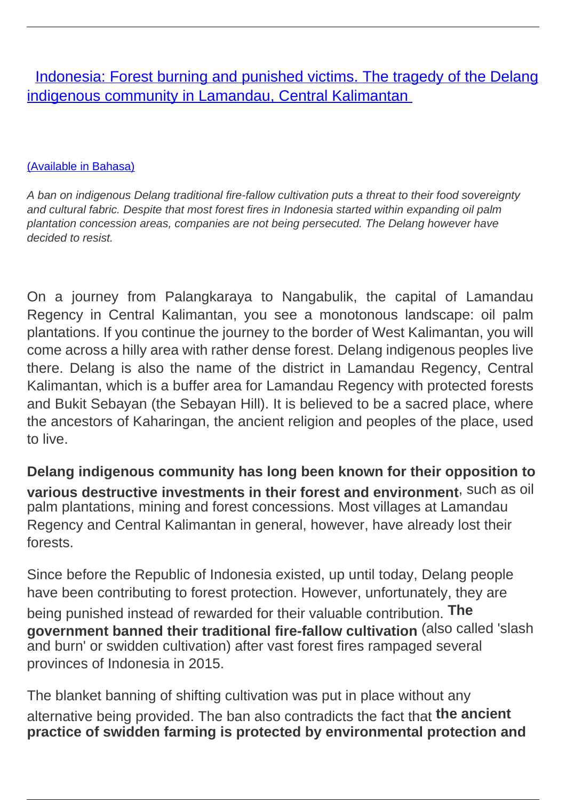**[Indonesia: Forest burning and punished victims. The tragedy of the Delang](/bulletin-articles/indonesia-forest-burning-and-punished-victims-the-tragedy-of-the-delang-indigenous-community-in-lamandau-central-kalimantan)** [indigenous community in Lamandau, Central Kalimantan](/bulletin-articles/indonesia-forest-burning-and-punished-victims-the-tragedy-of-the-delang-indigenous-community-in-lamandau-central-kalimantan)

#### [\(Available in Bahasa\)](https://wrm.org.uy/other-relevant-information/pembakaran-hutan-dan-korban-yang-dihukum-kisah-tentang-tragedi-masyarakat-adat-delang-di-lamandau-kalimantan-tengah/)

A ban on indigenous Delang traditional fire-fallow cultivation puts a threat to their food sovereignty and cultural fabric. Despite that most forest fires in Indonesia started within expanding oil palm plantation concession areas, companies are not being persecuted. The Delang however have decided to resist.

On a journey from Palangkaraya to Nangabulik, the capital of Lamandau Regency in Central Kalimantan, you see a monotonous landscape: oil palm plantations. If you continue the journey to the border of West Kalimantan, you will come across a hilly area with rather dense forest. Delang indigenous peoples live there. Delang is also the name of the district in Lamandau Regency, Central Kalimantan, which is a buffer area for Lamandau Regency with protected forests and Bukit Sebayan (the Sebayan Hill). It is believed to be a sacred place, where the ancestors of Kaharingan, the ancient religion and peoples of the place, used to live.

**Delang indigenous community has long been known for their opposition to various destructive investments in their forest and environment**, such as oil palm plantations, mining and forest concessions. Most villages at Lamandau Regency and Central Kalimantan in general, however, have already lost their forests.

Since before the Republic of Indonesia existed, up until today, Delang people have been contributing to forest protection. However, unfortunately, they are being punished instead of rewarded for their valuable contribution. **The government banned their traditional fire-fallow cultivation** (also called 'slash and burn' or swidden cultivation) after vast forest fires rampaged several provinces of Indonesia in 2015.

The blanket banning of shifting cultivation was put in place without any alternative being provided. The ban also contradicts the fact that **the ancient practice of swidden farming is protected by environmental protection and**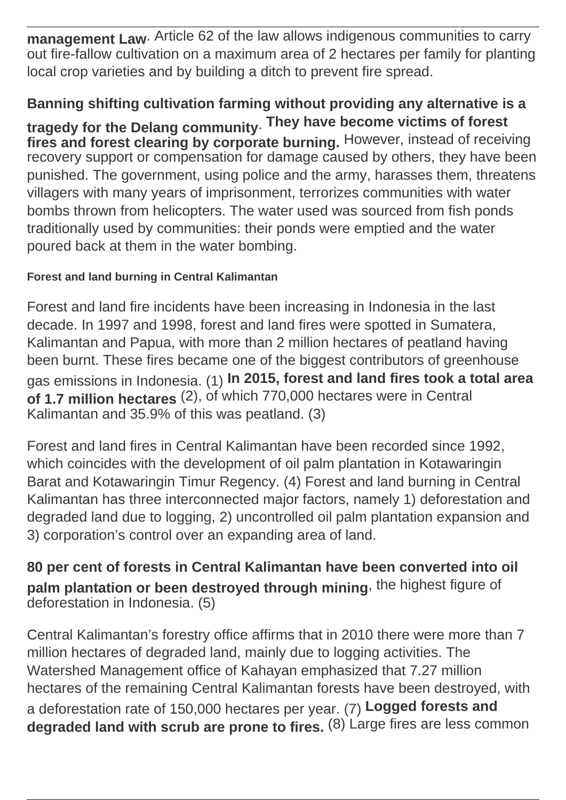**management Law**. Article 62 of the law allows indigenous communities to carry out fire-fallow cultivation on a maximum area of 2 hectares per family for planting local crop varieties and by building a ditch to prevent fire spread.

# **Banning shifting cultivation farming without providing any alternative is a**

**tragedy for the Delang community**. **They have become victims of forest fires and forest clearing by corporate burning.** However, instead of receiving recovery support or compensation for damage caused by others, they have been punished. The government, using police and the army, harasses them, threatens villagers with many years of imprisonment, terrorizes communities with water bombs thrown from helicopters. The water used was sourced from fish ponds traditionally used by communities: their ponds were emptied and the water poured back at them in the water bombing.

### **Forest and land burning in Central Kalimantan**

Forest and land fire incidents have been increasing in Indonesia in the last decade. In 1997 and 1998, forest and land fires were spotted in Sumatera, Kalimantan and Papua, with more than 2 million hectares of peatland having been burnt. These fires became one of the biggest contributors of greenhouse gas emissions in Indonesia. (1) **In 2015, forest and land fires took a total area of 1.7 million hectares** (2), of which 770,000 hectares were in Central Kalimantan and 35.9% of this was peatland. (3)

Forest and land fires in Central Kalimantan have been recorded since 1992, which coincides with the development of oil palm plantation in Kotawaringin Barat and Kotawaringin Timur Regency. (4) Forest and land burning in Central Kalimantan has three interconnected major factors, namely 1) deforestation and degraded land due to logging, 2) uncontrolled oil palm plantation expansion and 3) corporation's control over an expanding area of land.

**80 per cent of forests in Central Kalimantan have been converted into oil palm plantation or been destroyed through mining**, the highest figure of deforestation in Indonesia. (5)

Central Kalimantan's forestry office affirms that in 2010 there were more than 7 million hectares of degraded land, mainly due to logging activities. The Watershed Management office of Kahayan emphasized that 7.27 million hectares of the remaining Central Kalimantan forests have been destroyed, with a deforestation rate of 150,000 hectares per year. (7) **Logged forests and degraded land with scrub are prone to fires.** (8) Large fires are less common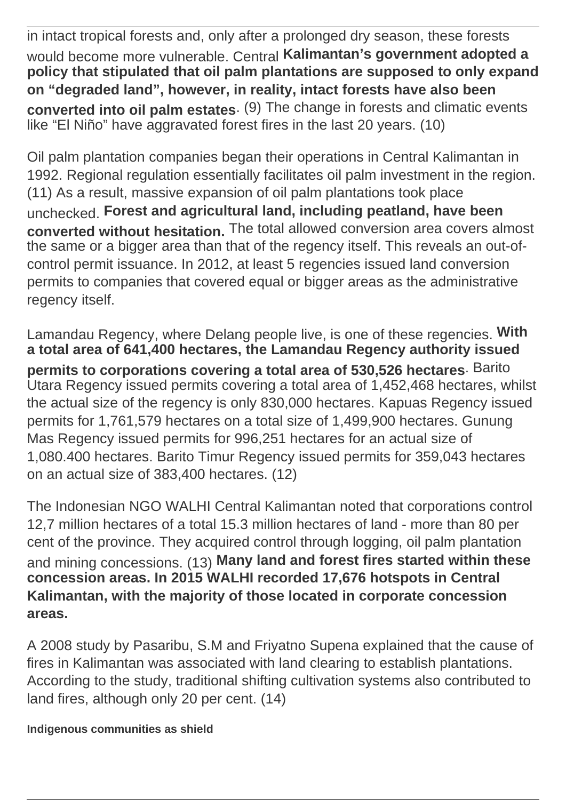in intact tropical forests and, only after a prolonged dry season, these forests would become more vulnerable. Central **Kalimantan's government adopted a policy that stipulated that oil palm plantations are supposed to only expand on "degraded land", however, in reality, intact forests have also been converted into oil palm estates**. (9) The change in forests and climatic events like "El Niño" have aggravated forest fires in the last 20 years. (10)

Oil palm plantation companies began their operations in Central Kalimantan in 1992. Regional regulation essentially facilitates oil palm investment in the region. (11) As a result, massive expansion of oil palm plantations took place unchecked. **Forest and agricultural land, including peatland, have been converted without hesitation.** The total allowed conversion area covers almost the same or a bigger area than that of the regency itself. This reveals an out-ofcontrol permit issuance. In 2012, at least 5 regencies issued land conversion permits to companies that covered equal or bigger areas as the administrative regency itself.

Lamandau Regency, where Delang people live, is one of these regencies. **With a total area of 641,400 hectares, the Lamandau Regency authority issued permits to corporations covering a total area of 530,526 hectares**. Barito Utara Regency issued permits covering a total area of 1,452,468 hectares, whilst the actual size of the regency is only 830,000 hectares. Kapuas Regency issued permits for 1,761,579 hectares on a total size of 1,499,900 hectares. Gunung Mas Regency issued permits for 996,251 hectares for an actual size of 1,080.400 hectares. Barito Timur Regency issued permits for 359,043 hectares on an actual size of 383,400 hectares. (12)

The Indonesian NGO WALHI Central Kalimantan noted that corporations control 12,7 million hectares of a total 15.3 million hectares of land - more than 80 per cent of the province. They acquired control through logging, oil palm plantation and mining concessions. (13) **Many land and forest fires started within these concession areas. In 2015 WALHI recorded 17,676 hotspots in Central Kalimantan, with the majority of those located in corporate concession areas.** 

A 2008 study by Pasaribu, S.M and Friyatno Supena explained that the cause of fires in Kalimantan was associated with land clearing to establish plantations. According to the study, traditional shifting cultivation systems also contributed to land fires, although only 20 per cent. (14)

**Indigenous communities as shield**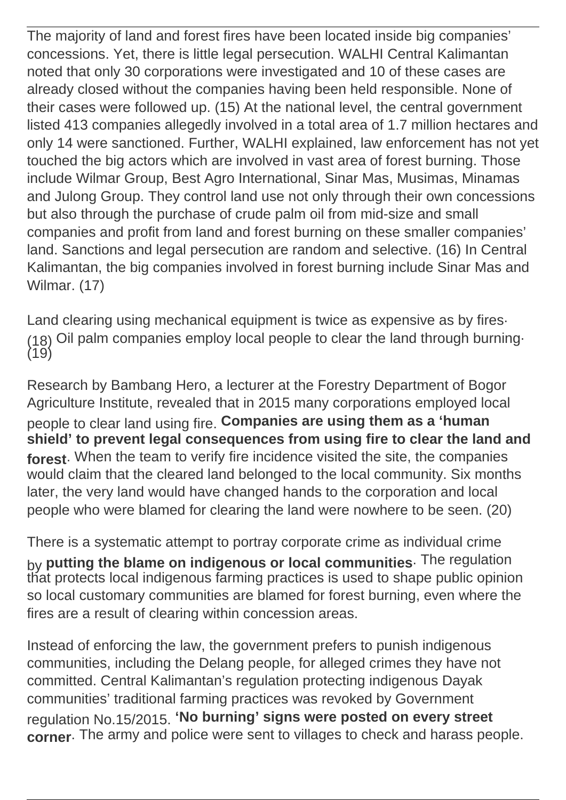The majority of land and forest fires have been located inside big companies' concessions. Yet, there is little legal persecution. WALHI Central Kalimantan noted that only 30 corporations were investigated and 10 of these cases are already closed without the companies having been held responsible. None of their cases were followed up. (15) At the national level, the central government listed 413 companies allegedly involved in a total area of 1.7 million hectares and only 14 were sanctioned. Further, WALHI explained, law enforcement has not yet touched the big actors which are involved in vast area of forest burning. Those include Wilmar Group, Best Agro International, Sinar Mas, Musimas, Minamas and Julong Group. They control land use not only through their own concessions but also through the purchase of crude palm oil from mid-size and small companies and profit from land and forest burning on these smaller companies' land. Sanctions and legal persecution are random and selective. (16) In Central Kalimantan, the big companies involved in forest burning include Sinar Mas and Wilmar. (17)

Land clearing using mechanical equipment is twice as expensive as by fires. (18) Oil palm companies employ local people to clear the land through burning.  $(19)$ 

Research by Bambang Hero, a lecturer at the Forestry Department of Bogor Agriculture Institute, revealed that in 2015 many corporations employed local people to clear land using fire. **Companies are using them as a 'human shield' to prevent legal consequences from using fire to clear the land and forest**. When the team to verify fire incidence visited the site, the companies would claim that the cleared land belonged to the local community. Six months later, the very land would have changed hands to the corporation and local people who were blamed for clearing the land were nowhere to be seen. (20)

There is a systematic attempt to portray corporate crime as individual crime by **putting the blame on indigenous or local communities**. The regulation that protects local indigenous farming practices is used to shape public opinion so local customary communities are blamed for forest burning, even where the fires are a result of clearing within concession areas.

Instead of enforcing the law, the government prefers to punish indigenous communities, including the Delang people, for alleged crimes they have not committed. Central Kalimantan's regulation protecting indigenous Dayak communities' traditional farming practices was revoked by Government regulation No.15/2015. **'No burning' signs were posted on every street corner**. The army and police were sent to villages to check and harass people.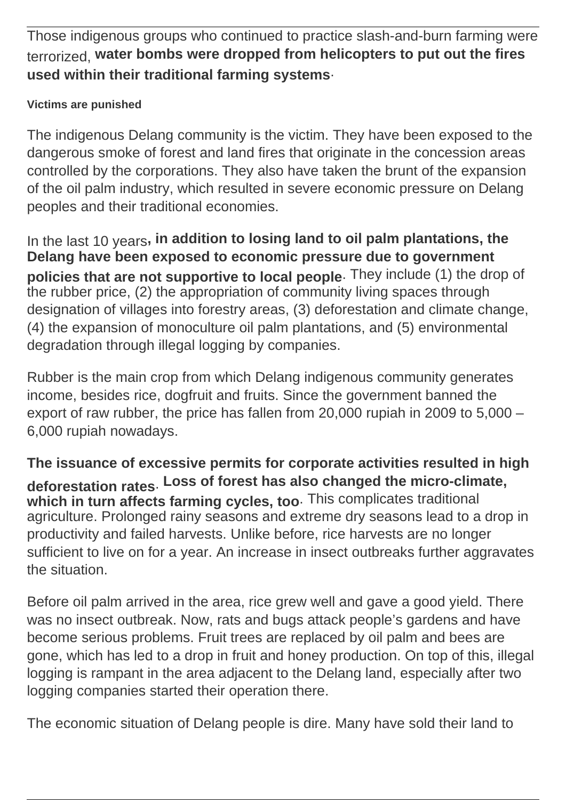Those indigenous groups who continued to practice slash-and-burn farming were terrorized, **water bombs were dropped from helicopters to put out the fires used within their traditional farming systems**.

### **Victims are punished**

The indigenous Delang community is the victim. They have been exposed to the dangerous smoke of forest and land fires that originate in the concession areas controlled by the corporations. They also have taken the brunt of the expansion of the oil palm industry, which resulted in severe economic pressure on Delang peoples and their traditional economies.

In the last 10 years**, in addition to losing land to oil palm plantations, the Delang have been exposed to economic pressure due to government policies that are not supportive to local people**. They include (1) the drop of the rubber price, (2) the appropriation of community living spaces through designation of villages into forestry areas, (3) deforestation and climate change, (4) the expansion of monoculture oil palm plantations, and (5) environmental degradation through illegal logging by companies.

Rubber is the main crop from which Delang indigenous community generates income, besides rice, dogfruit and fruits. Since the government banned the export of raw rubber, the price has fallen from 20,000 rupiah in 2009 to 5,000 – 6,000 rupiah nowadays.

**The issuance of excessive permits for corporate activities resulted in high deforestation rates**. **Loss of forest has also changed the micro-climate, which in turn affects farming cycles, too**. This complicates traditional agriculture. Prolonged rainy seasons and extreme dry seasons lead to a drop in productivity and failed harvests. Unlike before, rice harvests are no longer sufficient to live on for a year. An increase in insect outbreaks further aggravates the situation.

Before oil palm arrived in the area, rice grew well and gave a good yield. There was no insect outbreak. Now, rats and bugs attack people's gardens and have become serious problems. Fruit trees are replaced by oil palm and bees are gone, which has led to a drop in fruit and honey production. On top of this, illegal logging is rampant in the area adjacent to the Delang land, especially after two logging companies started their operation there.

The economic situation of Delang people is dire. Many have sold their land to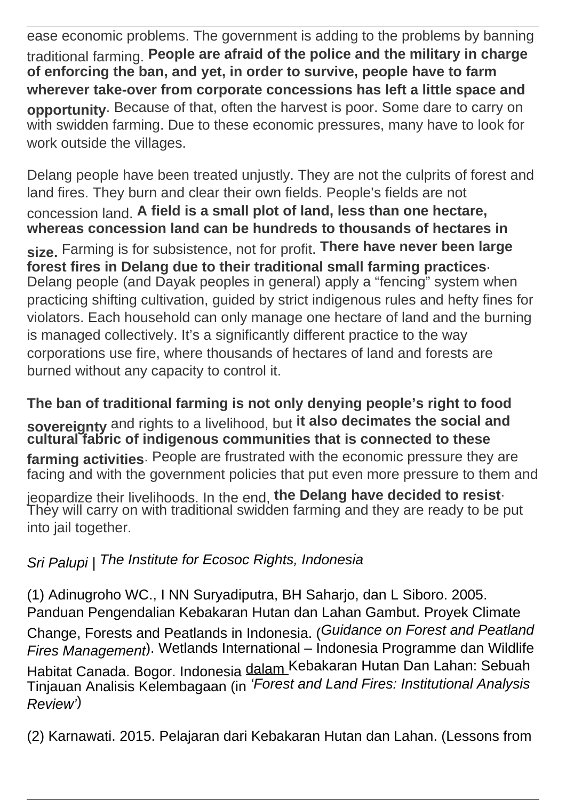ease economic problems. The government is adding to the problems by banning traditional farming. **People are afraid of the police and the military in charge of enforcing the ban, and yet, in order to survive, people have to farm wherever take-over from corporate concessions has left a little space and opportunity**. Because of that, often the harvest is poor. Some dare to carry on with swidden farming. Due to these economic pressures, many have to look for work outside the villages.

Delang people have been treated unjustly. They are not the culprits of forest and land fires. They burn and clear their own fields. People's fields are not concession land. **A field is a small plot of land, less than one hectare, whereas concession land can be hundreds to thousands of hectares in size.** Farming is for subsistence, not for profit. **There have never been large forest fires in Delang due to their traditional small farming practices**. Delang people (and Dayak peoples in general) apply a "fencing" system when practicing shifting cultivation, guided by strict indigenous rules and hefty fines for violators. Each household can only manage one hectare of land and the burning is managed collectively. It's a significantly different practice to the way corporations use fire, where thousands of hectares of land and forests are burned without any capacity to control it.

**The ban of traditional farming is not only denying people's right to food sovereignty** and rights to a livelihood, but **it also decimates the social and cultural fabric of indigenous communities that is connected to these farming activities**. People are frustrated with the economic pressure they are facing and with the government policies that put even more pressure to them and

jeopardize their livelihoods. In the end, **the Delang have decided to resist**. They will carry on with traditional swidden farming and they are ready to be put into jail together.

# Sri Palupi | The Institute for Ecosoc Rights, Indonesia

(1) Adinugroho WC., I NN Suryadiputra, BH Saharjo, dan L Siboro. 2005. Panduan Pengendalian Kebakaran Hutan dan Lahan Gambut. Proyek Climate Change, Forests and Peatlands in Indonesia. (Guidance on Forest and Peatland Fires Management). Wetlands International – Indonesia Programme dan Wildlife Habitat Canada. Bogor. Indonesia dalam <sup>Kebakaran</sup> Hutan Dan Lahan: Sebuah Tinjauan Analisis Kelembagaan (in 'Forest and Land Fires: Institutional Analysis Review')

(2) Karnawati. 2015. Pelajaran dari Kebakaran Hutan dan Lahan. (Lessons from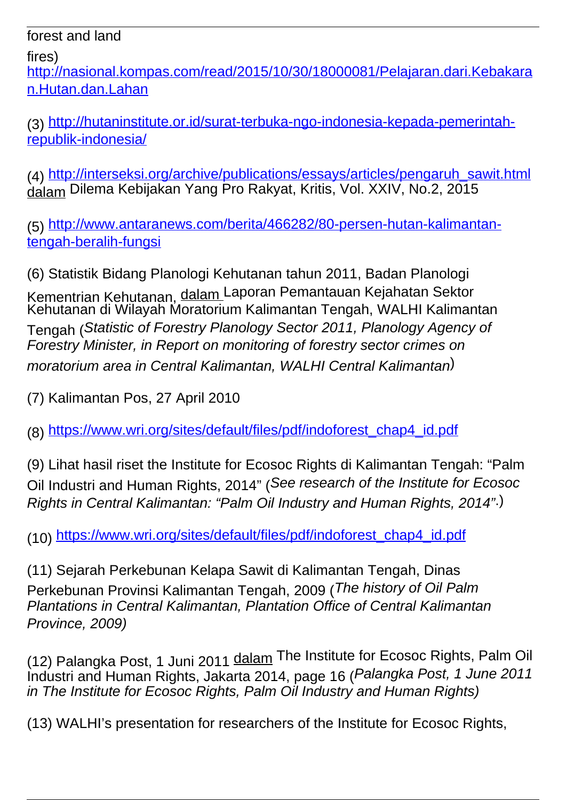forest and land

fires)

[http://nasional.kompas.com/read/2015/10/30/18000081/Pelajaran.dari.Kebakara](http://nasional.kompas.com/read/2015/10/30/18000081/Pelajaran.dari.Kebakaran.Hutan.dan.Lahan) [n.Hutan.dan.Lahan](http://nasional.kompas.com/read/2015/10/30/18000081/Pelajaran.dari.Kebakaran.Hutan.dan.Lahan)

(3) [http://hutaninstitute.or.id/surat-terbuka-ngo-indonesia-kepada-pemerintah](http://hutaninstitute.or.id/surat-terbuka-ngo-indonesia-kepada-pemerintah-republik-indonesia/)[republik-indonesia/](http://hutaninstitute.or.id/surat-terbuka-ngo-indonesia-kepada-pemerintah-republik-indonesia/)

(4) [http://interseksi.org/archive/publications/essays/articles/pengaruh\\_sawit.html](http://interseksi.org/archive/publications/essays/articles/pengaruh_sawit.html) <u>àálam</u> Dilema Kebijakan Yang Pro Rakyat, Kritis, Vol. XXIV, No.2, 2015

(5) [http://www.antaranews.com/berita/466282/80-persen-hutan-kalimantan](http://www.antaranews.com/berita/466282/80-persen-hutan-kalimantan-tengah-beralih-fungsi)[tengah-beralih-fungsi](http://www.antaranews.com/berita/466282/80-persen-hutan-kalimantan-tengah-beralih-fungsi)

(6) Statistik Bidang Planologi Kehutanan tahun 2011, Badan Planologi Kementrian Kehutanan, dalam Laporan Pemantauan Kejahatan Sektor Kehutanan di Wilayah Moratorium Kalimantan Tengah, WALHI Kalimantan Tengah (Statistic of Forestry Planology Sector 2011, Planology Agency of Forestry Minister, in Report on monitoring of forestry sector crimes on moratorium area in Central Kalimantan, WALHI Central Kalimantan)

(7) Kalimantan Pos, 27 April 2010

(8) [https://www.wri.org/sites/default/files/pdf/indoforest\\_chap4\\_id.pdf](https://www.wri.org/sites/default/files/pdf/indoforest_chap4_id.pdf)

(9) Lihat hasil riset the Institute for Ecosoc Rights di Kalimantan Tengah: "Palm Oil Industri and Human Rights, 2014" (See research of the Institute for Ecosoc Rights in Central Kalimantan: "Palm Oil Industry and Human Rights, 2014".)

(10) [https://www.wri.org/sites/default/files/pdf/indoforest\\_chap4\\_id.pdf](https://www.wri.org/sites/default/files/pdf/indoforest_chap4_id.pdf)

(11) Sejarah Perkebunan Kelapa Sawit di Kalimantan Tengah, Dinas Perkebunan Provinsi Kalimantan Tengah, 2009 (The history of Oil Palm Plantations in Central Kalimantan, Plantation Office of Central Kalimantan Province, 2009)

(12) Palangka Post, 1 Juni 2011 dalam The Institute for Ecosoc Rights, Palm Oil Industri and Human Rights, Jakarta 2014, page 16 (Palangka Post, 1 June 2011 in The Institute for Ecosoc Rights, Palm Oil Industry and Human Rights)

(13) WALHI's presentation for researchers of the Institute for Ecosoc Rights,